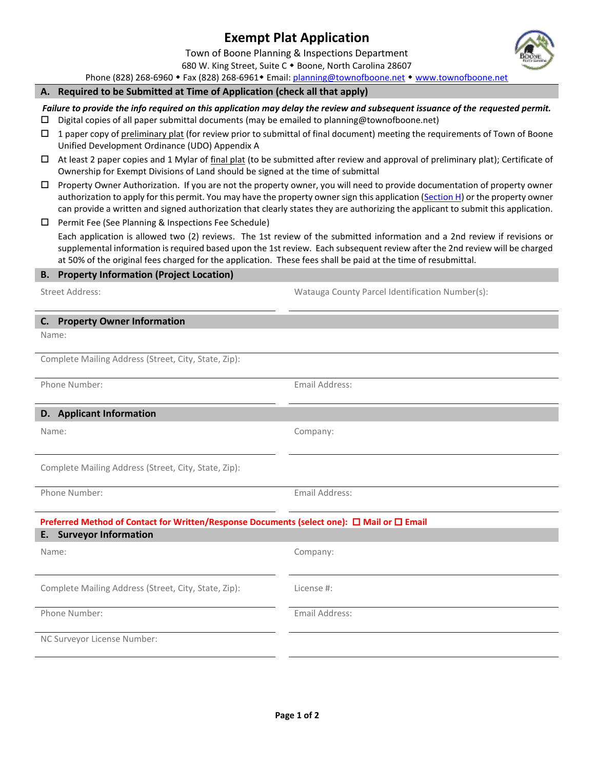# **Exempt Plat Application**

Town of Boone Planning & Inspections Department 680 W. King Street, Suite C . Boone, North Carolina 28607

Phone (828) 268-6960 • Fax (828) 268-6961 • Email: [planning@townofboone.net](mailto:planning@townofboone.net) • [www.townofboone.net](http://www.townofboone.net/)

#### **A. Required to be Submitted at Time of Application (check all that apply)**

*Failure to provide the info required on this application may delay the review and subsequent issuance of the requested permit.*

- $\Box$  Digital copies of all paper submittal documents (may be emailed to planning@townofboone.net)
- $\Box$  1 paper copy of preliminary plat (for review prior to submittal of final document) meeting the requirements of Town of Boone Unified Development Ordinance (UDO) Appendix A
- $\Box$  At least 2 paper copies and 1 Mylar of final plat (to be submitted after review and approval of preliminary plat); Certificate of Ownership for Exempt Divisions of Land should be signed at the time of submittal
- Property Owner Authorization. If you are not the property owner, you will need to provide documentation of property owner authorization to apply for this permit. You may have the property owner sign this application [\(Section H\)](#page-1-0) or the property owner can provide a written and signed authorization that clearly states they are authorizing the applicant to submit this application.
- $\Box$  Permit Fee (See Planning & Inspections Fee Schedule)

Each application is allowed two (2) reviews. The 1st review of the submitted information and a 2nd review if revisions or supplemental information is required based upon the 1st review. Each subsequent review after the 2nd review will be charged at 50% of the original fees charged for the application. These fees shall be paid at the time of resubmittal.

## **B. Property Information (Project Location)**

Street Address: Watauga County Parcel Identification Number(s):

## **C. Property Owner Information**

Name:

Complete Mailing Address (Street, City, State, Zip):

Phone Number: The Contract of the Contract of the Email Address:

#### **D. Applicant Information**

Name: Company:

Complete Mailing Address (Street, City, State, Zip):

Phone Number: The Contract of the Contract of the Email Address:

# **Preferred Method of Contact for Written/Response Documents (select one): □ Mail or □ Email**

| <b>E.</b> Surveyor Information                       |                |  |  |  |  |  |
|------------------------------------------------------|----------------|--|--|--|--|--|
| Name:                                                | Company:       |  |  |  |  |  |
|                                                      |                |  |  |  |  |  |
| Complete Mailing Address (Street, City, State, Zip): | License #:     |  |  |  |  |  |
| Phone Number:                                        | Email Address: |  |  |  |  |  |
| NC Surveyor License Number:                          |                |  |  |  |  |  |